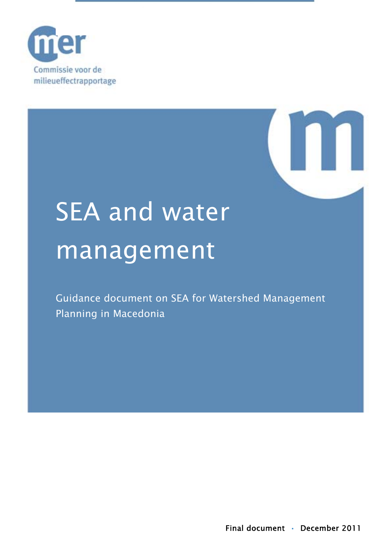



# SEA and water management

Guidance document on SEA for Watershed Management Planning in Macedonia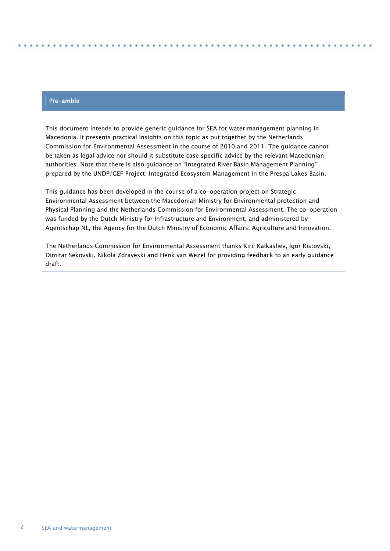#### Pre-amble

This document intends to provide generic guidance for SEA for water management planning in Macedonia. It presents practical insights on this topic as put together by the Netherlands Commission for Environmental Assessment in the course of 2010 and 2011. The guidance cannot be taken as legal advice nor should it substitute case specific advice by the relevant Macedonian authorities. Note that there is also guidance on "Integrated River Basin Management Planning" prepared by the UNDP/GEF Project: Integrated Ecosystem Management in the Prespa Lakes Basin.

This guidance has been developed in the course of a co-operation project on Strategic Environmental Assessment between the Macedonian Ministry for Environmental protection and Physical Planning and the Netherlands Commission for Environmental Assessment. The co-operation was funded by the Dutch Ministry for Infrastructure and Environment, and administered by Agentschap NL, the Agency for the Dutch Ministry of Economic Affairs, Agriculture and Innovation.

The Netherlands Commission for Environmental Assessment thanks Kiril Kalkasliev, Igor Ristovski, Dimitar Sekovski, Nikola Zdraveski and Henk van Wezel for providing feedback to an early guidance draft.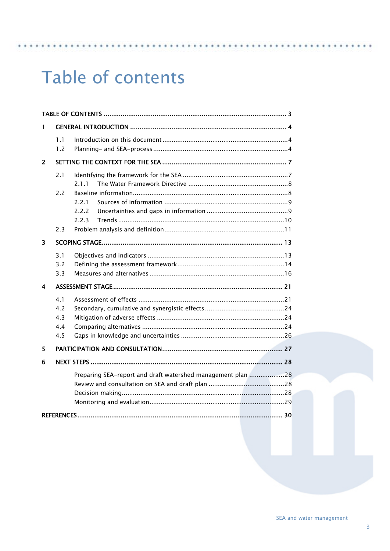## <span id="page-2-0"></span>Table of contents

| 1                       |                                 |                                                             |  |  |  |  |  |  |
|-------------------------|---------------------------------|-------------------------------------------------------------|--|--|--|--|--|--|
|                         | 1.1<br>1.2                      |                                                             |  |  |  |  |  |  |
| $\overline{2}$          |                                 |                                                             |  |  |  |  |  |  |
|                         | 2.1                             | 2.1.1                                                       |  |  |  |  |  |  |
|                         | 2.2<br>2.3                      | 2.2.1<br>2.2.2<br>2.2.3                                     |  |  |  |  |  |  |
| $\overline{\mathbf{3}}$ |                                 |                                                             |  |  |  |  |  |  |
|                         | 3.1<br>3.2<br>3.3               |                                                             |  |  |  |  |  |  |
| 4                       |                                 |                                                             |  |  |  |  |  |  |
|                         | 4.1<br>4.2<br>4.3<br>4.4<br>4.5 |                                                             |  |  |  |  |  |  |
| 5                       |                                 |                                                             |  |  |  |  |  |  |
| 6                       |                                 |                                                             |  |  |  |  |  |  |
|                         |                                 | Preparing SEA-report and draft watershed management plan 28 |  |  |  |  |  |  |
|                         |                                 |                                                             |  |  |  |  |  |  |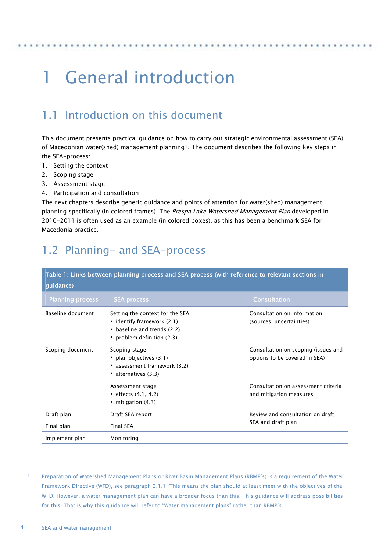## <span id="page-3-0"></span>1 General introduction

## <span id="page-3-1"></span>1.1 Introduction on this document

This document presents practical guidance on how to carry out strategic environmental assessment (SEA) of Macedonian water(shed) management planning<sup>[1](#page-3-3)</sup>. The document describes the following key steps in the SEA-process:

- 1. Setting the context
- 2. Scoping stage
- 3. Assessment stage
- 4. Participation and consultation

The next chapters describe generic guidance and points of attention for water(shed) management planning specifically (in colored frames). The Prespa Lake Watershed Management Plan developed in 2010-2011 is often used as an example (in colored boxes), as this has been a benchmark SEA for Macedonia practice.

## <span id="page-3-2"></span>1.2 Planning- and SEA-process

| Table 1: Links between planning process and SEA process (with reference to relevant sections in<br>guidance) |                                                                                                                          |                                                                      |  |  |  |
|--------------------------------------------------------------------------------------------------------------|--------------------------------------------------------------------------------------------------------------------------|----------------------------------------------------------------------|--|--|--|
| <b>Planning process</b>                                                                                      | <b>SEA process</b>                                                                                                       | <b>Consultation</b>                                                  |  |  |  |
| Baseline document                                                                                            | Setting the context for the SEA<br>• identify framework (2.1)<br>• baseline and trends (2.2)<br>problem definition (2.3) | Consultation on information<br>(sources, uncertainties)              |  |  |  |
| Scoping document                                                                                             | Scoping stage<br>$\blacksquare$ plan objectives (3.1)<br>assessment framework (3.2)<br>$\blacksquare$ alternatives (3.3) | Consultation on scoping (issues and<br>options to be covered in SEA) |  |  |  |
|                                                                                                              | Assessment stage<br>$e$ effects $(4.1, 4.2)$<br>$\blacksquare$ mitigation (4.3)                                          | Consultation on assessment criteria<br>and mitigation measures       |  |  |  |
| Draft plan                                                                                                   | Draft SEA report                                                                                                         | Review and consultation on draft                                     |  |  |  |
| Final plan                                                                                                   | <b>Final SEA</b>                                                                                                         | SEA and draft plan                                                   |  |  |  |
| Implement plan                                                                                               | Monitoring                                                                                                               |                                                                      |  |  |  |

i,

<span id="page-3-3"></span>Preparation of Watershed Management Plans or River Basin Management Plans (RBMP's) is a requirement of the Water Framework Directive (WFD), see paragraph 2.1.1. This means the plan should at least meet with the objectives of the WFD. However, a water management plan can have a broader focus than this. This guidance will address possibilities for this. That is why this guidance will refer to "Water management plans" rather than RBMP's.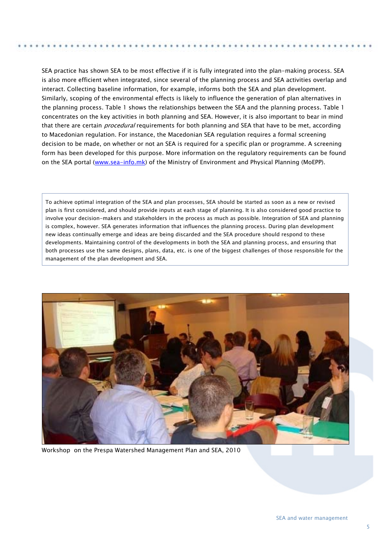SEA practice has shown SEA to be most effective if it is fully integrated into the plan-making process. SEA is also more efficient when integrated, since several of the planning process and SEA activities overlap and interact. Collecting baseline information, for example, informs both the SEA and plan development. Similarly, scoping of the environmental effects is likely to influence the generation of plan alternatives in the planning process. Table 1 shows the relationships between the SEA and the planning process. Table 1 concentrates on the key activities in both planning and SEA. However, it is also important to bear in mind that there are certain *procedural* requirements for both planning and SEA that have to be met, according to Macedonian regulation. For instance, the Macedonian SEA regulation requires a formal screening decision to be made, on whether or not an SEA is required for a specific plan or programme. A screening form has been developed for this purpose. More information on the regulatory requirements can be found on the SEA portal ([www.sea-info.mk\)](http://www.sea-info.mk/) of the Ministry of Environment and Physical Planning (MoEPP).

To achieve optimal integration of the SEA and plan processes, SEA should be started as soon as a new or revised plan is first considered, and should provide inputs at each stage of planning. It is also considered good practice to involve your decision-makers and stakeholders in the process as much as possible. Integration of SEA and planning is complex, however. SEA generates information that influences the planning process. During plan development new ideas continually emerge and ideas are being discarded and the SEA procedure should respond to these developments. Maintaining control of the developments in both the SEA and planning process, and ensuring that both processes use the same designs, plans, data, etc. is one of the biggest challenges of those responsible for the management of the plan development and SEA.



Workshop on the Prespa Watershed Management Plan and SEA, 2010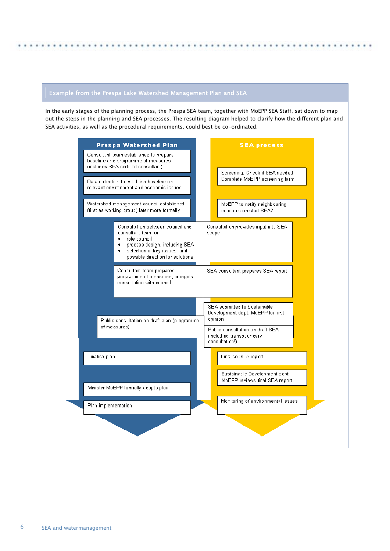## Example from the Prespa Lake Watershed Management Plan and SEA

In the early stages of the planning process, the Prespa SEA team, together with MoEPP SEA Staff, sat down to map out the steps in the planning and SEA processes. The resulting diagram helped to clarify how the different plan and SEA activities, as well as the procedural requirements, could best be co-ordinated.

| Data collection to establish baseline on<br>relevant environment and economic issues<br>Watershed management council established<br>MoEPP to notify neighbouring<br>(first as working group) later more formally<br>countries on start SEA?<br>Consultation between council and<br>Consultation provides input into SEA<br>consultant team on:<br>scope<br>role council<br>٠<br>process design, including SEA<br>٠<br>selection of key issues, and<br>possible direction for solutions.<br>Consultant team prepares<br>SEA consultant prepares SEA report<br>programme of measures, in regular<br>consultation with council.<br>SEA submitted to Sustainable<br>Development dept. MoEPP for first<br>opinion<br>Public consultation on draft plan (programme)<br>of measures)<br>Public consultation on draft SEA.<br>(including transboundary)<br>consultation!)<br>Finalise plan<br>Finalise SEA report<br>Sustainable Development dept.<br>MoEPP reviews final SEA report<br>Minister MoEPP formally adopts plan.<br>Monitoring of environmental issues.<br>Plan implementation | Prespa Watershed Plan<br>Consultant team established to prepare<br>baseline and programme of measures<br>(includes SEA certified consultant) |  |  | <b>SEA process</b><br>Screening: Check if SEA needed |  |
|------------------------------------------------------------------------------------------------------------------------------------------------------------------------------------------------------------------------------------------------------------------------------------------------------------------------------------------------------------------------------------------------------------------------------------------------------------------------------------------------------------------------------------------------------------------------------------------------------------------------------------------------------------------------------------------------------------------------------------------------------------------------------------------------------------------------------------------------------------------------------------------------------------------------------------------------------------------------------------------------------------------------------------------------------------------------------------|----------------------------------------------------------------------------------------------------------------------------------------------|--|--|------------------------------------------------------|--|
|                                                                                                                                                                                                                                                                                                                                                                                                                                                                                                                                                                                                                                                                                                                                                                                                                                                                                                                                                                                                                                                                                    |                                                                                                                                              |  |  | Complete MoEPP screening form                        |  |
|                                                                                                                                                                                                                                                                                                                                                                                                                                                                                                                                                                                                                                                                                                                                                                                                                                                                                                                                                                                                                                                                                    |                                                                                                                                              |  |  |                                                      |  |
|                                                                                                                                                                                                                                                                                                                                                                                                                                                                                                                                                                                                                                                                                                                                                                                                                                                                                                                                                                                                                                                                                    |                                                                                                                                              |  |  |                                                      |  |
|                                                                                                                                                                                                                                                                                                                                                                                                                                                                                                                                                                                                                                                                                                                                                                                                                                                                                                                                                                                                                                                                                    |                                                                                                                                              |  |  |                                                      |  |
|                                                                                                                                                                                                                                                                                                                                                                                                                                                                                                                                                                                                                                                                                                                                                                                                                                                                                                                                                                                                                                                                                    |                                                                                                                                              |  |  |                                                      |  |
|                                                                                                                                                                                                                                                                                                                                                                                                                                                                                                                                                                                                                                                                                                                                                                                                                                                                                                                                                                                                                                                                                    |                                                                                                                                              |  |  |                                                      |  |
|                                                                                                                                                                                                                                                                                                                                                                                                                                                                                                                                                                                                                                                                                                                                                                                                                                                                                                                                                                                                                                                                                    |                                                                                                                                              |  |  |                                                      |  |
|                                                                                                                                                                                                                                                                                                                                                                                                                                                                                                                                                                                                                                                                                                                                                                                                                                                                                                                                                                                                                                                                                    |                                                                                                                                              |  |  |                                                      |  |
|                                                                                                                                                                                                                                                                                                                                                                                                                                                                                                                                                                                                                                                                                                                                                                                                                                                                                                                                                                                                                                                                                    |                                                                                                                                              |  |  |                                                      |  |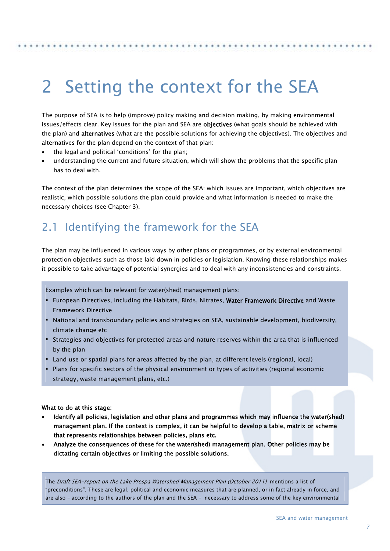## <span id="page-6-0"></span>2 Setting the context for the SEA

The purpose of SEA is to help (improve) policy making and decision making, by making environmental issues/effects clear. Key issues for the plan and SEA are objectives (what goals should be achieved with the plan) and **alternatives** (what are the possible solutions for achieving the objectives). The objectives and alternatives for the plan depend on the context of that plan:

- the legal and political 'conditions' for the plan;
- understanding the current and future situation, which will show the problems that the specific plan has to deal with.

The context of the plan determines the scope of the SEA: which issues are important, which objectives are realistic, which possible solutions the plan could provide and what information is needed to make the necessary choices (see Chapter 3).

## <span id="page-6-1"></span>2.1 Identifying the framework for the SEA

The plan may be influenced in various ways by other plans or programmes, or by external environmental protection objectives such as those laid down in policies or legislation. Knowing these relationships makes it possible to take advantage of potential synergies and to deal with any inconsistencies and constraints.

Examples which can be relevant for water(shed) management plans:

- **European Directives, including the Habitats, Birds, Nitrates, Water Framework Directive and Waste** Framework Directive
- National and transboundary policies and strategies on SEA, sustainable development, biodiversity, climate change etc
- Strategies and objectives for protected areas and nature reserves within the area that is influenced by the plan
- Land use or spatial plans for areas affected by the plan, at different levels (regional, local)
- Plans for specific sectors of the physical environment or types of activities (regional economic strategy, waste management plans, etc.)

#### What to do at this stage:

- Identify all policies, legislation and other plans and programmes which may influence the water(shed) management plan. If the context is complex, it can be helpful to develop a table, matrix or scheme that represents relationships between policies, plans etc.
- Analyze the consequences of these for the water(shed) management plan. Other policies may be dictating certain objectives or limiting the possible solutions.

The Draft SEA-report on the Lake Prespa Watershed Management Plan (October 2011) mentions a list of "preconditions". These are legal, political and economic measures that are planned, or in fact already in force, and are also – according to the authors of the plan and the SEA – necessary to address some of the key environmental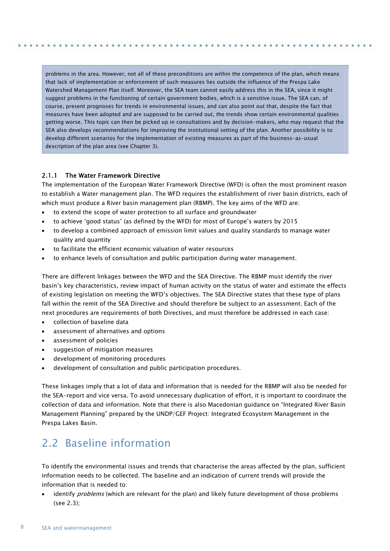problems in the area. However, not all of these preconditions are within the competence of the plan, which means that lack of implementation or enforcement of such measures lies outside the influence of the Prespa Lake Watershed Management Plan itself. Moreover, the SEA team cannot easily address this in the SEA, since it might suggest problems in the functioning of certain government bodies, which is a sensitive issue. The SEA can, of course, present prognoses for trends in environmental issues, and can also point out that, despite the fact that measures have been adopted and are supposed to be carried out, the trends show certain environmental qualities getting worse. This topic can then be picked up in consultations and by decision-makers, who may request that the SEA also develops recommendations for improving the institutional setting of the plan. Another possibility is to develop different scenarios for the implementation of existing measures as part of the business-as-usual description of the plan area (see Chapter 3).

### <span id="page-7-0"></span>2.1.1 The Water Framework Directive

The implementation of the European Water Framework Directive (WFD) is often the most prominent reason to establish a Water management plan. The WFD requires the establishment of river basin districts, each of which must produce a River basin management plan (RBMP). The key aims of the WFD are:

- to extend the scope of water protection to all surface and groundwater
- to achieve 'good status' (as defined by the WFD) for most of Europe's waters by 2015
- to develop a combined approach of emission limit values and quality standards to manage water quality and quantity
- to facilitate the efficient economic valuation of water resources
- to enhance levels of consultation and public participation during water management.

There are different linkages between the WFD and the SEA Directive. The RBMP must identify the river basin's key characteristics, review impact of human activity on the status of water and estimate the effects of existing legislation on meeting the WFD's objectives. The SEA Directive states that these type of plans fall within the remit of the SEA Directive and should therefore be subject to an assessment. Each of the next procedures are requirements of both Directives, and must therefore be addressed in each case:

- collection of baseline data
- assessment of alternatives and options
- assessment of policies
- suggestion of mitigation measures
- development of monitoring procedures
- development of consultation and public participation procedures.

These linkages imply that a lot of data and information that is needed for the RBMP will also be needed for the SEA-report and vice versa. To avoid unnecessary duplication of effort, it is important to coordinate the collection of data and information. Note that there is also Macedonian guidance on "Integrated River Basin Management Planning" prepared by the UNDP/GEF Project: Integrated Ecosystem Management in the Prespa Lakes Basin.

## <span id="page-7-1"></span>2.2 Baseline information

To identify the environmental issues and trends that characterise the areas affected by the plan, sufficient information needs to be collected. The baseline and an indication of current trends will provide the information that is needed to:

identify *problems* (which are relevant for the plan) and likely future development of those problems (see 2.3);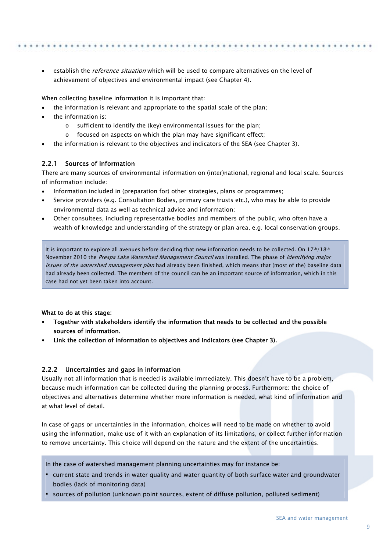establish the *reference situation* which will be used to compare alternatives on the level of achievement of objectives and environmental impact (see Chapter 4).

When collecting baseline information it is important that:

- the information is relevant and appropriate to the spatial scale of the plan;
- the information is:
	- o sufficient to identify the (key) environmental issues for the plan;
	- o focused on aspects on which the plan may have significant effect;
- the information is relevant to the objectives and indicators of the SEA (see Chapter 3).

### <span id="page-8-0"></span>2.2.1 Sources of information

There are many sources of environmental information on (inter)national, regional and local scale. Sources of information include:

- Information included in (preparation for) other strategies, plans or programmes;
- Service providers (e.g. Consultation Bodies, primary care trusts etc.), who may be able to provide environmental data as well as technical advice and information;
- Other consultees, including representative bodies and members of the public, who often have a wealth of knowledge and understanding of the strategy or plan area, e.g. local conservation groups.

It is important to explore all avenues before deciding that new information needs to be collected. On  $17th/18th$ November 2010 the Prespa Lake Watershed Management Council was installed. The phase of identifying major issues of the watershed management plan had already been finished, which means that (most of the) baseline data had already been collected. The members of the council can be an important source of information, which in this case had not yet been taken into account.

#### What to do at this stage:

- Together with stakeholders identify the information that needs to be collected and the possible sources of information.
- Link the collection of information to objectives and indicators (see Chapter 3).

### <span id="page-8-1"></span>2.2.2 Uncertainties and gaps in information

Usually not all information that is needed is available immediately. This doesn't have to be a problem, because much information can be collected during the planning process. Furthermore: the choice of objectives and alternatives determine whether more information is needed, what kind of information and at what level of detail.

In case of gaps or uncertainties in the information, choices will need to be made on whether to avoid using the information, make use of it with an explanation of its limitations, or collect further information to remove uncertainty. This choice will depend on the nature and the extent of the uncertainties.

In the case of watershed management planning uncertainties may for instance be:

- current state and trends in water quality and water quantity of both surface water and groundwater bodies (lack of monitoring data)
- sources of pollution (unknown point sources, extent of diffuse pollution, polluted sediment)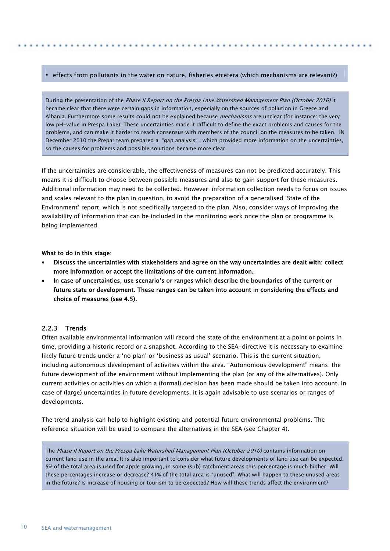### effects from pollutants in the water on nature, fisheries etcetera (which mechanisms are relevant?)

During the presentation of the Phase II Report on the Prespa Lake Watershed Management Plan (October 2010) it became clear that there were certain gaps in information, especially on the sources of pollution in Greece and Albania. Furthermore some results could not be explained because *mechanisms* are unclear (for instance: the very low pH-value in Prespa Lake). These uncertainties made it difficult to define the exact problems and causes for the problems, and can make it harder to reach consensus with members of the council on the measures to be taken. IN December 2010 the Prepar team prepared a "gap analysis" , which provided more information on the uncertainties, so the causes for problems and possible solutions became more clear.

If the uncertainties are considerable, the effectiveness of measures can not be predicted accurately. This means it is difficult to choose between possible measures and also to gain support for these measures. Additional information may need to be collected. However: information collection needs to focus on issues and scales relevant to the plan in question, to avoid the preparation of a generalised 'State of the Environment' report, which is not specifically targeted to the plan. Also, consider ways of improving the availability of information that can be included in the monitoring work once the plan or programme is being implemented.

What to do in this stage:

- Discuss the uncertainties with stakeholders and agree on the way uncertainties are dealt with: collect more information or accept the limitations of the current information.
- In case of uncertainties, use scenario's or ranges which describe the boundaries of the current or future state or development. These ranges can be taken into account in considering the effects and choice of measures (see 4.5).

### <span id="page-9-0"></span>2.2.3 Trends

Often available environmental information will record the state of the environment at a point or points in time, providing a historic record or a snapshot. According to the SEA-directive it is necessary to examine likely future trends under a 'no plan' or 'business as usual' scenario. This is the current situation, including autonomous development of activities within the area. "Autonomous development" means: the future development of the environment without implementing the plan (or any of the alternatives). Only current activities or activities on which a (formal) decision has been made should be taken into account. In case of (large) uncertainties in future developments, it is again advisable to use scenarios or ranges of developments.

The trend analysis can help to highlight existing and potential future environmental problems. The reference situation will be used to compare the alternatives in the SEA (see Chapter 4).

The Phase II Report on the Prespa Lake Watershed Management Plan (October 2010) contains information on current land use in the area. It is also important to consider what future developments of land use can be expected. 5% of the total area is used for apple growing, in some (sub) catchment areas this percentage is much higher. Will these percentages increase or decrease? 41% of the total area is "unused". What will happen to these unused areas in the future? Is increase of housing or tourism to be expected? How will these trends affect the environment?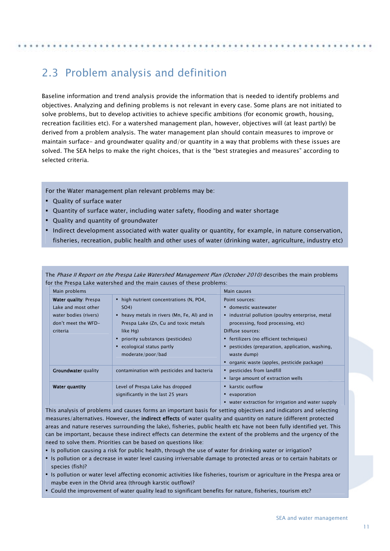## <span id="page-10-0"></span>2.3 Problem analysis and definition

Baseline information and trend analysis provide the information that is needed to identify problems and objectives. Analyzing and defining problems is not relevant in every case. Some plans are not initiated to solve problems, but to develop activities to achieve specific ambitions (for economic growth, housing, recreation facilities etc). For a watershed management plan, however, objectives will (at least partly) be derived from a problem analysis. The water management plan should contain measures to improve or maintain surface- and groundwater quality and/or quantity in a way that problems with these issues are solved. The SEA helps to make the right choices, that is the "best strategies and measures" according to selected criteria.

For the Water management plan relevant problems may be:

- Quality of surface water
- Quantity of surface water, including water safety, flooding and water shortage
- Quality and quantity of groundwater
- Indirect development associated with water quality or quantity, for example, in nature conservation, fisheries, recreation, public health and other uses of water (drinking water, agriculture, industry etc)

The Phase II Report on the Prespa Lake Watershed Management Plan (October 2010) describes the main problems for the Prespa Lake watershed and the main causes of these problems:

| Main problems                                                                                                   |                                                                                                                                                                                                                                              | Main causes                                                                                                                                                                                                                                                                                                       |
|-----------------------------------------------------------------------------------------------------------------|----------------------------------------------------------------------------------------------------------------------------------------------------------------------------------------------------------------------------------------------|-------------------------------------------------------------------------------------------------------------------------------------------------------------------------------------------------------------------------------------------------------------------------------------------------------------------|
| <b>Water quality: Prespa</b><br>Lake and most other<br>water bodies (rivers)<br>don't meet the WFD-<br>criteria | • high nutrient concentrations (N, PO4,<br>SO4)<br>• heavy metals in rivers (Mn, Fe, Al) and in<br>Prespa Lake (Zn, Cu and toxic metals<br>like Hg)<br>• priority substances (pesticides)<br>• ecological status partly<br>moderate/poor/bad | Point sources:<br>" domestic wastewater<br>industrial pollution (poultry enterprise, metal<br>٠<br>processing, food processing, etc)<br>Diffuse sources:<br>• fertilizers (no efficient techniques)<br>pesticides (preparation, application, washing,<br>waste dump)<br>organic waste (apples, pesticide package) |
| <b>Groundwater</b> quality                                                                                      | contamination with pesticides and bacteria                                                                                                                                                                                                   | pesticides from landfill<br>• large amount of extraction wells                                                                                                                                                                                                                                                    |
| <b>Water quantity</b>                                                                                           | Level of Prespa Lake has dropped<br>significantly in the last 25 years                                                                                                                                                                       | • karstic outflow<br>evaporation<br>• water extraction for irrigation and water supply                                                                                                                                                                                                                            |

This analysis of problems and causes forms an important basis for setting objectives and indicators and selecting measures/alternatives. However, the indirect effects of water quality and quantity on nature (different protected areas and nature reserves surrounding the lake), fisheries, public health etc have not been fully identified yet. This can be important, because these indirect effects can determine the extent of the problems and the urgency of the need to solve them. Priorities can be based on questions like:

- Is pollution causing a risk for public health, through the use of water for drinking water or irrigation?
- Is pollution or a decrease in water level causing irriversable damage to protected areas or to certain habitats or species (fish)?
- Is pollution or water level affecting economic activities like fisheries, tourism or agriculture in the Prespa area or maybe even in the Ohrid area (through karstic outflow)?
- Could the improvement of water quality lead to significant benefits for nature, fisheries, tourism etc?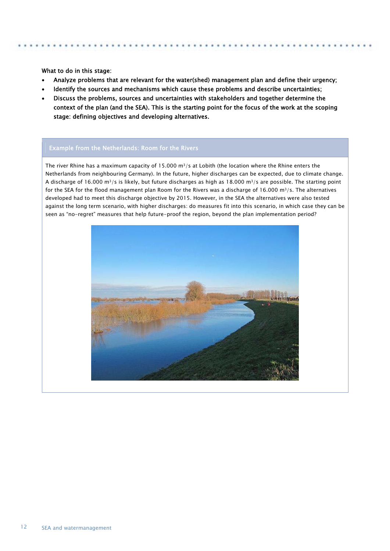What to do in this stage:

 $\overline{a}$ 

- Analyze problems that are relevant for the water(shed) management plan and define their urgency;
- Identify the sources and mechanisms which cause these problems and describe uncertainties;
- Discuss the problems, sources and uncertainties with stakeholders and together determine the context of the plan (and the SEA). This is the starting point for the focus of the work at the scoping stage: defining objectives and developing alternatives.

#### Example from the Netherlands: Room for the Rivers

The river Rhine has a maximum capacity of 15.000  $m^3/s$  at Lobith (the location where the Rhine enters the Netherlands from neighbouring Germany). In the future, higher discharges can be expected, due to climate change. A discharge of 16.000 m3/s is likely, but future discharges as high as 18.000 m3/s are possible. The starting point for the SEA for the flood management plan Room for the Rivers was a discharge of 16.000 m<sup>3</sup>/s. The alternatives developed had to meet this discharge objective by 2015. However, in the SEA the alternatives were also tested against the long term scenario, with higher discharges: do measures fit into this scenario, in which case they can be seen as "no-regret" measures that help future-proof the region, beyond the plan implementation period?

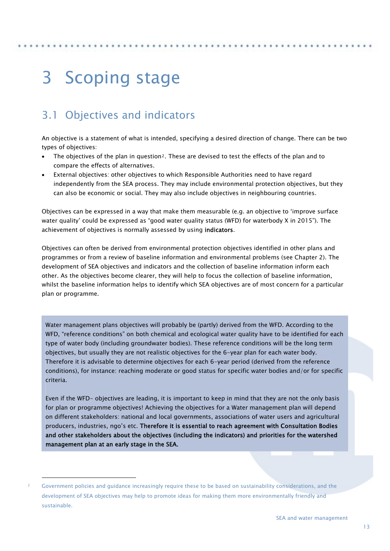## <span id="page-12-0"></span>3 Scoping stage

## <span id="page-12-1"></span>3.1 Objectives and indicators

An objective is a statement of what is intended, specifying a desired direction of change. There can be two types of objectives:

- The objectives of the plan in question[2](#page-12-2). These are devised to test the effects of the plan and to compare the effects of alternatives.
- External objectives: other objectives to which Responsible Authorities need to have regard independently from the SEA process. They may include environmental protection objectives, but they can also be economic or social. They may also include objectives in neighbouring countries.

Objectives can be expressed in a way that make them measurable (e.g. an objective to 'improve surface water quality' could be expressed as "good water quality status (WFD) for waterbody X in 2015"). The achievement of objectives is normally assessed by using indicators.

Objectives can often be derived from environmental protection objectives identified in other plans and programmes or from a review of baseline information and environmental problems (see Chapter 2). The development of SEA objectives and indicators and the collection of baseline information inform each other. As the objectives become clearer, they will help to focus the collection of baseline information, whilst the baseline information helps to identify which SEA objectives are of most concern for a particular plan or programme.

Water management plans objectives will probably be (partly) derived from the WFD. According to the WFD, "reference conditions" on both chemical and ecological water quality have to be identified for each type of water body (including groundwater bodies). These reference conditions will be the long term objectives, but usually they are not realistic objectives for the 6-year plan for each water body. Therefore it is advisable to determine objectives for each 6-year period (derived from the reference conditions), for instance: reaching moderate or good status for specific water bodies and/or for specific criteria.

Even if the WFD- objectives are leading, it is important to keep in mind that they are not the only basis for plan or programme objectives! Achieving the objectives for a Water management plan will depend on different stakeholders: national and local governments, associations of water users and agricultural producers, industries, ngo's etc. Therefore it is essential to reach agreement with Consultation Bodies and other stakeholders about the objectives (including the indicators) and priorities for the watershed management plan at an early stage in the SEA.

-

<span id="page-12-2"></span><sup>2</sup> Government policies and guidance increasingly require these to be based on sustainability considerations, and the development of SEA objectives may help to promote ideas for making them more environmentally friendly and sustainable.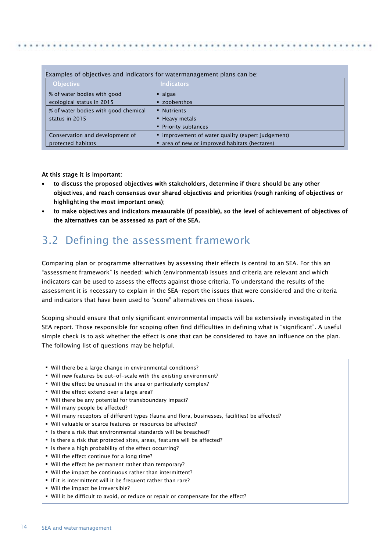### Examples of objectives and indicators for watermanagement plans can be:

| <b>Objective</b>                     | <b>Indicators</b>                               |
|--------------------------------------|-------------------------------------------------|
| % of water bodies with good          | $\blacksquare$ algae                            |
| ecological status in 2015            | " zoobenthos                                    |
| % of water bodies with good chemical | • Nutrients                                     |
| status in 2015                       | • Heavy metals                                  |
|                                      | • Priority subtances                            |
| Conservation and development of      | improvement of water quality (expert judgement) |
| protected habitats                   | area of new or improved habitats (hectares)     |

### At this stage it is important:

- to discuss the proposed objectives with stakeholders, determine if there should be any other objectives, and reach consensus over shared objectives and priorities (rough ranking of objectives or highlighting the most important ones);
- to make objectives and indicators measurable (if possible), so the level of achievement of objectives of the alternatives can be assessed as part of the SEA.

## <span id="page-13-0"></span>3.2 Defining the assessment framework

Comparing plan or programme alternatives by assessing their effects is central to an SEA. For this an "assessment framework" is needed: which (environmental) issues and criteria are relevant and which indicators can be used to assess the effects against those criteria. To understand the results of the assessment it is necessary to explain in the SEA-report the issues that were considered and the criteria and indicators that have been used to "score" alternatives on those issues.

Scoping should ensure that only significant environmental impacts will be extensively investigated in the SEA report. Those responsible for scoping often find difficulties in defining what is "significant". A useful simple check is to ask whether the effect is one that can be considered to have an influence on the plan. The following list of questions may be helpful.

- Will there be a large change in environmental conditions?
- Will new features be out-of-scale with the existing environment?
- Will the effect be unusual in the area or particularly complex?
- Will the effect extend over a large area?
- Will there be any potential for transboundary impact?
- Will many people be affected?
- Will many receptors of different types (fauna and flora, businesses, facilities) be affected?
- Will valuable or scarce features or resources be affected?
- If Is there a risk that environmental standards will be breached?
- **EXTER 15 Is there a risk that protected sites, areas, features will be affected?**
- If Is there a high probability of the effect occurring?
- Will the effect continue for a long time?
- Will the effect be permanent rather than temporary?
- Will the impact be continuous rather than intermittent?
- If it is intermittent will it be frequent rather than rare?
- Will the impact be irreversible?
- Will it be difficult to avoid, or reduce or repair or compensate for the effect?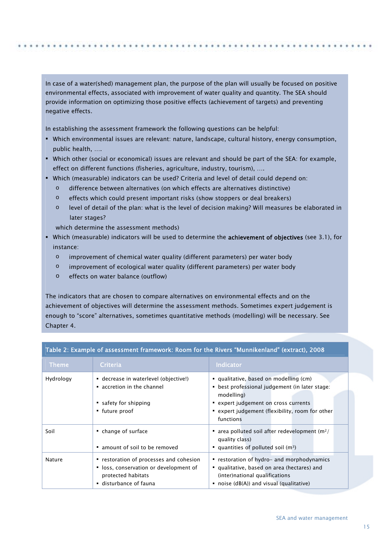In case of a water(shed) management plan, the purpose of the plan will usually be focused on positive environmental effects, associated with improvement of water quality and quantity. The SEA should provide information on optimizing those positive effects (achievement of targets) and preventing negative effects.

In establishing the assessment framework the following questions can be helpful:

- Which environmental issues are relevant: nature, landscape, cultural history, energy consumption, public health, ….
- Which other (social or economical) issues are relevant and should be part of the SEA: for example, effect on different functions (fisheries, agriculture, industry, tourism), ….
- Which (measurable) indicators can be used? Criteria and level of detail could depend on:
	- o difference between alternatives (on which effects are alternatives distinctive)
	- o effects which could present important risks (show stoppers or deal breakers)
	- o level of detail of the plan: what is the level of decision making? Will measures be elaborated in later stages?

which determine the assessment methods)

- Which (measurable) indicators will be used to determine the **achievement of objectives** (see 3.1), for instance:
	- o improvement of chemical water quality (different parameters) per water body
	- o improvement of ecological water quality (different parameters) per water body
	- o effects on water balance (outflow)

The indicators that are chosen to compare alternatives on environmental effects and on the achievement of objectives will determine the assessment methods. Sometimes expert judgement is enough to "score" alternatives, sometimes quantitative methods (modelling) will be necessary. See Chapter 4.

| Table 2: Example of assessment framework: Room for the Rivers "Munnikenland" (extract), 2008 |                                                                                                                                   |                                                                                                                                                                                                              |  |  |  |  |
|----------------------------------------------------------------------------------------------|-----------------------------------------------------------------------------------------------------------------------------------|--------------------------------------------------------------------------------------------------------------------------------------------------------------------------------------------------------------|--|--|--|--|
| <b>Theme</b>                                                                                 | Criteria                                                                                                                          | <b>Indicator</b>                                                                                                                                                                                             |  |  |  |  |
| Hydrology                                                                                    | " decrease in waterlevel (objective!)<br>accretion in the channel<br>safety for shipping<br>• future proof                        | qualitative, based on modelling (cm)<br>• best professional judgement (in later stage:<br>modelling)<br>• expert judgement on cross currents<br>• expert judgement (flexibility, room for other<br>functions |  |  |  |  |
| Soil                                                                                         | • change of surface<br>amount of soil to be removed                                                                               | area polluted soil after redevelopment ( $m^2$ /<br>quality class)<br>quantities of polluted soil $(m3)$                                                                                                     |  |  |  |  |
| <b>Nature</b>                                                                                | " restoration of processes and cohesion<br>• loss, conservation or development of<br>protected habitats<br>· disturbance of fauna | " restoration of hydro- and morphodynamics<br>qualitative, based on area (hectares) and<br>(inter) national qualifications<br>• noise $(dB(A))$ and visual (qualitative)                                     |  |  |  |  |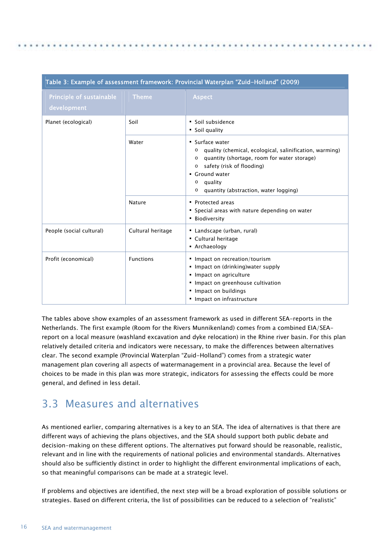| Table 3: Example of assessment framework: Provincial Waterplan "Zuid-Holland" (2009) |                   |                                                                                                                                                                                                                                                                                     |  |  |  |
|--------------------------------------------------------------------------------------|-------------------|-------------------------------------------------------------------------------------------------------------------------------------------------------------------------------------------------------------------------------------------------------------------------------------|--|--|--|
| Principle of sustainable<br>development                                              | <b>Theme</b>      | <b>Aspect</b>                                                                                                                                                                                                                                                                       |  |  |  |
| Planet (ecological)                                                                  | Soil              | • Soil subsidence<br>• Soil quality                                                                                                                                                                                                                                                 |  |  |  |
|                                                                                      | Water             | • Surface water<br>quality (chemical, ecological, salinification, warming)<br>$\circ$<br>quantity (shortage, room for water storage)<br>$\circ$<br>safety (risk of flooding)<br>$\circ$<br>• Ground water<br>quality<br>$\circ$<br>quantity (abstraction, water logging)<br>$\circ$ |  |  |  |
|                                                                                      | Nature            | • Protected areas<br>" Special areas with nature depending on water<br><b>Biodiversity</b>                                                                                                                                                                                          |  |  |  |
| People (social cultural)                                                             | Cultural heritage | • Landscape (urban, rural)<br>• Cultural heritage<br>• Archaeology                                                                                                                                                                                                                  |  |  |  |
| Profit (economical)                                                                  | <b>Functions</b>  | • Impact on recreation/tourism<br>• Impact on (drinking) water supply<br>• Impact on agriculture<br>· Impact on greenhouse cultivation<br>• Impact on buildings<br>Impact on infrastructure                                                                                         |  |  |  |

The tables above show examples of an assessment framework as used in different SEA-reports in the Netherlands. The first example (Room for the Rivers Munnikenland) comes from a combined EIA/SEAreport on a local measure (washland excavation and dyke relocation) in the Rhine river basin. For this plan relatively detailed criteria and indicators were necessary, to make the differences between alternatives clear. The second example (Provincial Waterplan "Zuid-Holland") comes from a strategic water management plan covering all aspects of watermanagement in a provincial area. Because the level of choices to be made in this plan was more strategic, indicators for assessing the effects could be more general, and defined in less detail.

## <span id="page-15-0"></span>3.3 Measures and alternatives

As mentioned earlier, comparing alternatives is a key to an SEA. The idea of alternatives is that there are different ways of achieving the plans objectives, and the SEA should support both public debate and decision-making on these different options. The alternatives put forward should be reasonable, realistic, relevant and in line with the requirements of national policies and environmental standards. Alternatives should also be sufficiently distinct in order to highlight the different environmental implications of each, so that meaningful comparisons can be made at a strategic level.

If problems and objectives are identified, the next step will be a broad exploration of possible solutions or strategies. Based on different criteria, the list of possibilities can be reduced to a selection of "realistic"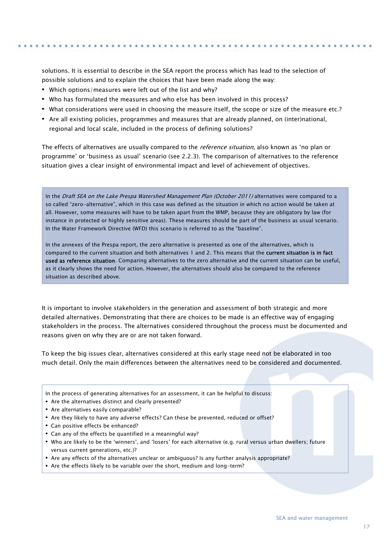solutions. It is essential to describe in the SEA report the process which has lead to the selection of possible solutions and to explain the choices that have been made along the way:

- Which options/measures were left out of the list and why?
- Who has formulated the measures and who else has been involved in this process?
- What considerations were used in choosing the measure itself, the scope or size of the measure etc.?
- Are all existing policies, programmes and measures that are already planned, on (inter)national, regional and local scale, included in the process of defining solutions?

The effects of alternatives are usually compared to the *reference situation*, also known as 'no plan or programme' or 'business as usual' scenario (see 2.2.3). The comparison of alternatives to the reference situation gives a clear insight of environmental impact and level of achievement of objectives.

In the Draft SEA on the Lake Prespa Watershed Management Plan (October 2011) alternatives were compared to a so called "zero-alternative", which in this case was defined as the situation in which no action would be taken at all. However, some measures will have to be taken apart from the WMP, because they are obligatory by law (for instance in protected or highly sensitive areas). These measures should be part of the business as usual scenario. In the Water Framework Directive (WFD) this scenario is referred to as the "baseline".

In the annexes of the Prespa report, the zero alternative is presented as one of the alternatives, which is compared to the current situation and both alternatives 1 and 2. This means that the current situation is in fact used as reference situation. Comparing alternatives to the zero alternative and the current situation can be useful, as it clearly shows the need for action. However, the alternatives should also be compared to the reference situation as described above.

It is important to involve stakeholders in the generation and assessment of both strategic and more detailed alternatives. Demonstrating that there are choices to be made is an effective way of engaging stakeholders in the process. The alternatives considered throughout the process must be documented and reasons given on why they are or are not taken forward.

To keep the big issues clear, alternatives considered at this early stage need not be elaborated in too much detail. Only the main differences between the alternatives need to be considered and documented.

- In the process of generating alternatives for an assessment, it can be helpful to discuss:
- Are the alternatives distinct and clearly presented?
- Are alternatives easily comparable?
- Are they likely to have any adverse effects? Can these be prevented, reduced or offset?
- Can positive effects be enhanced?
- Can any of the effects be quantified in a meaningful way?
- Who are likely to be the 'winners', and 'losers' for each alternative (e.g. rural versus urban dwellers; future versus current generations, etc.)?
- Are any effects of the alternatives unclear or ambiguous? Is any further analysis appropriate?
- Are the effects likely to be variable over the short, medium and long-term?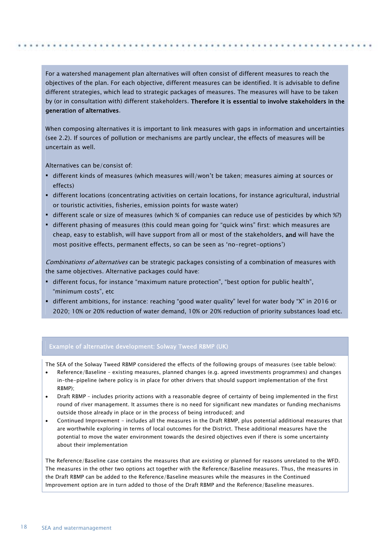For a watershed management plan alternatives will often consist of different measures to reach the objectives of the plan. For each objective, different measures can be identified. It is advisable to define different strategies, which lead to strategic packages of measures. The measures will have to be taken by (or in consultation with) different stakeholders. Therefore it is essential to involve stakeholders in the generation of alternatives.

When composing alternatives it is important to link measures with gaps in information and uncertainties (see 2.2). If sources of pollution or mechanisms are partly unclear, the effects of measures will be uncertain as well.

Alternatives can be/consist of:

- different kinds of measures (which measures will/won't be taken; measures aiming at sources or effects)
- different locations (concentrating activities on certain locations, for instance agricultural, industrial or touristic activities, fisheries, emission points for waste water)
- different scale or size of measures (which % of companies can reduce use of pesticides by which %?)
- different phasing of measures (this could mean going for "quick wins" first: which measures are cheap, easy to establish, will have support from all or most of the stakeholders, and will have the most positive effects, permanent effects, so can be seen as 'no-regret-options')

Combinations of alternatives can be strategic packages consisting of a combination of measures with the same objectives. Alternative packages could have:

- different focus, for instance "maximum nature protection", "best option for public health", "minimum costs", etc
- different ambitions, for instance: reaching "good water quality" level for water body "X" in 2016 or 2020; 10% or 20% reduction of water demand, 10% or 20% reduction of priority substances load etc.

#### Example of alternative development: Solway Tweed RBMP (UK)

The SEA of the Solway Tweed RBMP considered the effects of the following groups of measures (see table below):

- Reference/Baseline existing measures, planned changes (e.g. agreed investments programmes) and changes in-the-pipeline (where policy is in place for other drivers that should support implementation of the first RBMP);
- Draft RBMP includes priority actions with a reasonable degree of certainty of being implemented in the first round of river management. It assumes there is no need for significant new mandates or funding mechanisms outside those already in place or in the process of being introduced; and
- Continued Improvement includes all the measures in the Draft RBMP, plus potential additional measures that are worthwhile exploring in terms of local outcomes for the District. These additional measures have the potential to move the water environment towards the desired objectives even if there is some uncertainty about their implementation

The Reference/Baseline case contains the measures that are existing or planned for reasons unrelated to the WFD. The measures in the other two options act together with the Reference/Baseline measures. Thus, the measures in the Draft RBMP can be added to the Reference/Baseline measures while the measures in the Continued Improvement option are in turn added to those of the Draft RBMP and the Reference/Baseline measures.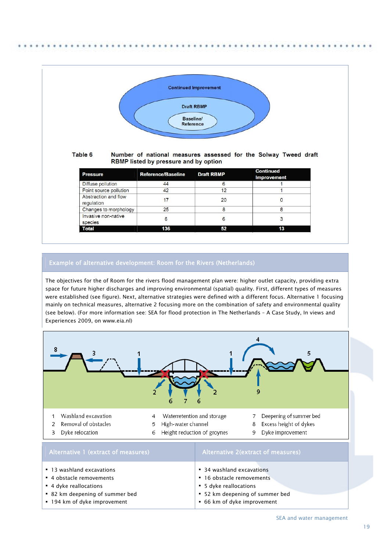

#### Table 6 Number of national measures assessed for the Solway Tweed draft RBMP listed by pressure and by option

| <b>Pressure</b>                    | <b>Reference/Baseline</b> | <b>Draft RBMP</b> | <b>Continued</b><br><b>Improvement</b> |
|------------------------------------|---------------------------|-------------------|----------------------------------------|
| Diffuse pollution                  | 44                        |                   |                                        |
| Point source pollution             | 42                        | 12                |                                        |
| Abstraction and flow<br>regulation |                           | 20                |                                        |
| Changes to morphology              | 25                        | 8                 |                                        |
| Invasive non-native<br>species     | 6                         | 6                 |                                        |
| <b>Total</b>                       | 136                       | 52                | 13                                     |

### Example of alternative development: Room for the Rivers (Netherlands)

The objectives for the of Room for the rivers flood management plan were: higher outlet capacity, providing extra space for future higher discharges and improving environmental (spatial) quality. First, different types of measures were established (see figure). Next, alternative strategies were defined with a different focus. Alternative 1 focusing mainly on technical measures, alternative 2 focusing more on the combination of safety and environmental quality (see below). (For more information see: SEA for flood protection in The Netherlands – A Case Study, In views and Experiences 2009, on www.eia.nl)



**5** dyke reallocations

 52 km deepening of summer bed 66 km of dyke improvement

- **4** dyke reallocations
- 82 km deepening of summer bed
- **194 km of dyke improvement**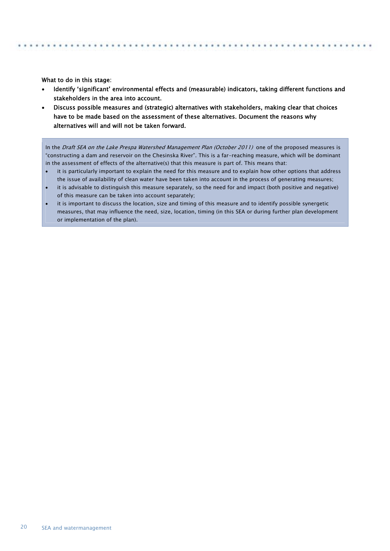What to do in this stage:

- Identify 'significant' environmental effects and (measurable) indicators, taking different functions and stakeholders in the area into account.
- Discuss possible measures and (strategic) alternatives with stakeholders, making clear that choices have to be made based on the assessment of these alternatives. Document the reasons why alternatives will and will not be taken forward.

In the Draft SEA on the Lake Prespa Watershed Management Plan (October 2011) one of the proposed measures is "constructing a dam and reservoir on the Chesinska River". This is a far-reaching measure, which will be dominant in the assessment of effects of the alternative(s) that this measure is part of. This means that:

- it is particularly important to explain the need for this measure and to explain how other options that address the issue of availability of clean water have been taken into account in the process of generating measures;
- it is advisable to distinguish this measure separately, so the need for and impact (both positive and negative) of this measure can be taken into account separately;
- it is important to discuss the location, size and timing of this measure and to identify possible synergetic measures, that may influence the need, size, location, timing (in this SEA or during further plan development or implementation of the plan).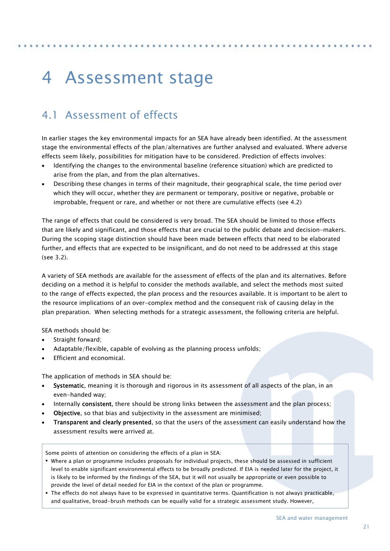## <span id="page-20-0"></span>4 Assessment stage

## <span id="page-20-1"></span>4.1 Assessment of effects

In earlier stages the key environmental impacts for an SEA have already been identified. At the assessment stage the environmental effects of the plan/alternatives are further analysed and evaluated. Where adverse effects seem likely, possibilities for mitigation have to be considered. Prediction of effects involves:

- Identifying the changes to the environmental baseline (reference situation) which are predicted to arise from the plan, and from the plan alternatives.
- Describing these changes in terms of their magnitude, their geographical scale, the time period over which they will occur, whether they are permanent or temporary, positive or negative, probable or improbable, frequent or rare, and whether or not there are cumulative effects (see 4.2)

The range of effects that could be considered is very broad. The SEA should be limited to those effects that are likely and significant, and those effects that are crucial to the public debate and decision-makers. During the scoping stage distinction should have been made between effects that need to be elaborated further, and effects that are expected to be insignificant, and do not need to be addressed at this stage (see 3.2).

A variety of SEA methods are available for the assessment of effects of the plan and its alternatives. Before deciding on a method it is helpful to consider the methods available, and select the methods most suited to the range of effects expected, the plan process and the resources available. It is important to be alert to the resource implications of an over-complex method and the consequent risk of causing delay in the plan preparation. When selecting methods for a strategic assessment, the following criteria are helpful.

SEA methods should be:

- Straight forward;
- Adaptable/flexible, capable of evolving as the planning process unfolds;
- Efficient and economical.

The application of methods in SEA should be:

- Systematic, meaning it is thorough and rigorous in its assessment of all aspects of the plan, in an even-handed way;
- Internally consistent, there should be strong links between the assessment and the plan process;
- Objective, so that bias and subjectivity in the assessment are minimised;
- Transparent and clearly presented, so that the users of the assessment can easily understand how the assessment results were arrived at.

Some points of attention on considering the effects of a plan in SEA:

- Where a plan or programme includes proposals for individual projects, these should be assessed in sufficient level to enable significant environmental effects to be broadly predicted. If EIA is needed later for the project, it is likely to be informed by the findings of the SEA, but it will not usually be appropriate or even possible to provide the level of detail needed for EIA in the context of the plan or programme.
- The effects do not always have to be expressed in quantitative terms. Quantification is not always practicable, and qualitative, broad-brush methods can be equally valid for a strategic assessment study. However,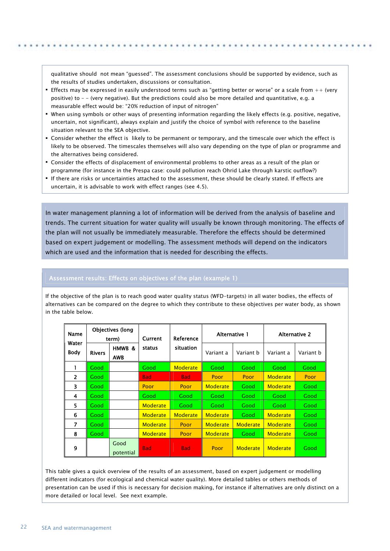qualitative should not mean "guessed". The assessment conclusions should be supported by evidence, such as the results of studies undertaken, discussions or consultation.

- Effects may be expressed in easily understood terms such as "getting better or worse" or a scale from ++ (very positive) to – - (very negative). But the predictions could also be more detailed and quantitative, e.g. a measurable effect would be: "20% reduction of input of nitrogen"
- When using symbols or other ways of presenting information regarding the likely effects (e.g. positive, negative, uncertain, not significant), always explain and justify the choice of symbol with reference to the baseline situation relevant to the SEA objective.
- Consider whether the effect is likely to be permanent or temporary, and the timescale over which the effect is likely to be observed. The timescales themselves will also vary depending on the type of plan or programme and the alternatives being considered.
- Consider the effects of displacement of environmental problems to other areas as a result of the plan or programme (for instance in the Prespa case: could pollution reach Ohrid Lake through karstic outflow?)
- If there are risks or uncertainties attached to the assessment, these should be clearly stated. If effects are uncertain, it is advisable to work with effect ranges (see 4.5).

In water management planning a lot of information will be derived from the analysis of baseline and trends. The current situation for water quality will usually be known through monitoring. The effects of the plan will not usually be immediately measurable. Therefore the effects should be determined based on expert judgement or modelling. The assessment methods will depend on the indicators which are used and the information that is needed for describing the effects.

#### Assessment results: Effects on objectives of the plan (example 1)

If the objective of the plan is to reach good water quality status (WFD-targets) in all water bodies, the effects of alternatives can be compared on the degree to which they contribute to these objectives per water body, as shown in the table below.

| Name<br>Water  | <b>Objectives (long</b><br>term) |                   | Reference<br><b>Current</b> |                 | Alternative 1    |                 | <b>Alternative 2</b> |           |
|----------------|----------------------------------|-------------------|-----------------------------|-----------------|------------------|-----------------|----------------------|-----------|
| Body           | <b>Rivers</b>                    | HMWB &<br>AWB     | status                      | situation       | Variant a        | Variant b       | Variant a            | Variant b |
|                | Good                             |                   | Good                        | <b>Moderate</b> | Good             | Good            | Good                 | Good      |
| $\overline{2}$ | Good                             |                   | <b>Bad</b>                  | <b>Bad</b>      | Poor             | Poor            | <b>Moderate</b>      | Poor      |
| 3              | Good                             |                   | Poor                        | Poor            | <b>Moderate</b>  | Good            | Moderate             | Good      |
| 4              | Good                             |                   | Good                        | Good            | Good             | Good            | Good                 | Good      |
| 5              | Good                             |                   | Moderate                    | Good            | Good             | Good            | Good                 | Good      |
| 6              | Good                             |                   | <b>Moderate</b>             | <b>Moderate</b> | <b>Moderate</b>  | Good            | <b>Moderate</b>      | Good      |
| $\overline{7}$ | Good                             |                   | <b>Moderate</b>             | Poor            | <b>Moderate</b>  | <b>Moderate</b> | <b>Moderate</b>      | Good      |
| 8              | Good                             |                   | <b>Moderate</b>             | Poor            | Moderate<br>Good |                 | <b>Moderate</b>      | Good      |
| 9              |                                  | Good<br>potential | <b>Bad</b>                  | <b>Bad</b>      | Poor             | Moderate        | Moderate             | Good      |

This table gives a quick overview of the results of an assessment, based on expert judgement or modelling different indicators (for ecological and chemical water quality). More detailed tables or others methods of presentation can be used if this is necessary for decision making, for instance if alternatives are only distinct on a more detailed or local level. See next example.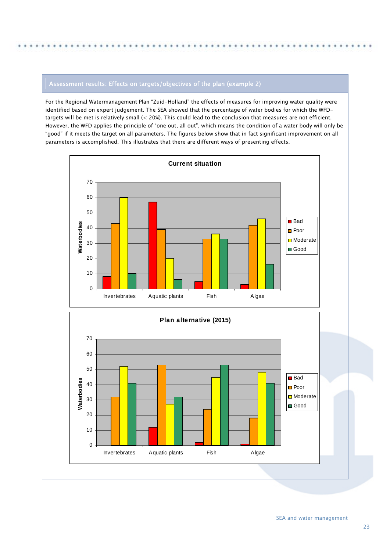## Assessment results: Effects on targets/objectives of the plan (example 2)

For the Regional Watermanagement Plan "Zuid-Holland" the effects of measures for improving water quality were identified based on expert judgement. The SEA showed that the percentage of water bodies for which the WFDtargets will be met is relatively small (< 20%). This could lead to the conclusion that measures are not efficient. However, the WFD applies the principle of "one out, all out", which means the condition of a water body will only be "good" if it meets the target on all parameters. The figures below show that in fact significant improvement on all parameters is accomplished. This illustrates that there are different ways of presenting effects.

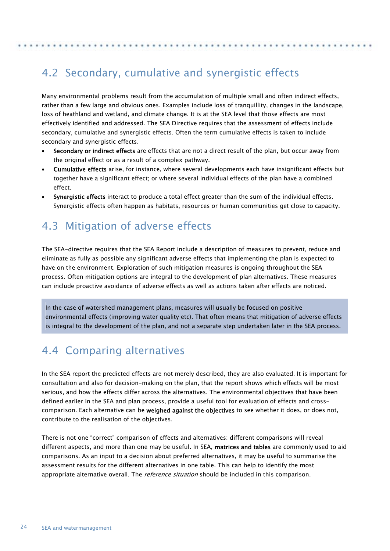## <span id="page-23-0"></span>4.2 Secondary, cumulative and synergistic effects

Many environmental problems result from the accumulation of multiple small and often indirect effects, rather than a few large and obvious ones. Examples include loss of tranquillity, changes in the landscape, loss of heathland and wetland, and climate change. It is at the SEA level that those effects are most effectively identified and addressed. The SEA Directive requires that the assessment of effects include secondary, cumulative and synergistic effects. Often the term cumulative effects is taken to include secondary and synergistic effects.

- Secondary or indirect effects are effects that are not a direct result of the plan, but occur away from the original effect or as a result of a complex pathway.
- Cumulative effects arise, for instance, where several developments each have insignificant effects but together have a significant effect; or where several individual effects of the plan have a combined effect.
- Synergistic effects interact to produce a total effect greater than the sum of the individual effects. Synergistic effects often happen as habitats, resources or human communities get close to capacity.

## <span id="page-23-1"></span>4.3 Mitigation of adverse effects

The SEA-directive requires that the SEA Report include a description of measures to prevent, reduce and eliminate as fully as possible any significant adverse effects that implementing the plan is expected to have on the environment. Exploration of such mitigation measures is ongoing throughout the SEA process. Often mitigation options are integral to the development of plan alternatives. These measures can include proactive avoidance of adverse effects as well as actions taken after effects are noticed.

In the case of watershed management plans, measures will usually be focused on positive environmental effects (improving water quality etc). That often means that mitigation of adverse effects is integral to the development of the plan, and not a separate step undertaken later in the SEA process.

## <span id="page-23-2"></span>4.4 Comparing alternatives

In the SEA report the predicted effects are not merely described, they are also evaluated. It is important for consultation and also for decision-making on the plan, that the report shows which effects will be most serious, and how the effects differ across the alternatives. The environmental objectives that have been defined earlier in the SEA and plan process, provide a useful tool for evaluation of effects and crosscomparison. Each alternative can be weighed against the objectives to see whether it does, or does not, contribute to the realisation of the objectives.

There is not one "correct" comparison of effects and alternatives: different comparisons will reveal different aspects, and more than one may be useful. In SEA, matrices and tables are commonly used to aid comparisons. As an input to a decision about preferred alternatives, it may be useful to summarise the assessment results for the different alternatives in one table. This can help to identify the most appropriate alternative overall. The *reference situation* should be included in this comparison.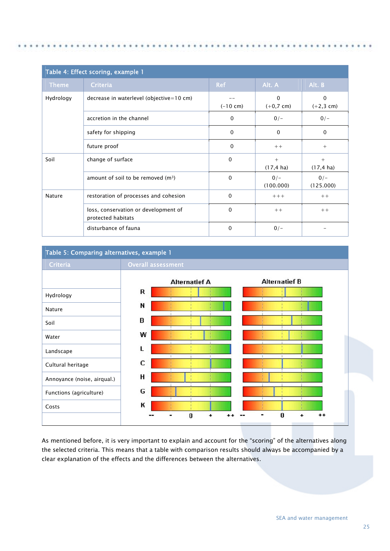| Table 4: Effect scoring, example 1 |                                                            |              |                             |                            |  |  |  |
|------------------------------------|------------------------------------------------------------|--------------|-----------------------------|----------------------------|--|--|--|
| <b>Theme</b>                       | <b>Criteria</b>                                            | <b>Ref</b>   | Alt. A                      | Alt. B                     |  |  |  |
| Hydrology                          | decrease in waterlevel (objective=10 cm)                   | $(-10 cm)$   | $\mathbf{0}$<br>$(+0,7$ cm) | $\mathbf 0$<br>$(+2,3$ cm) |  |  |  |
|                                    | accretion in the channel                                   | $\Omega$     | $0/-$                       | $0/-$                      |  |  |  |
|                                    | safety for shipping                                        | $\mathbf 0$  | $\Omega$                    | $\Omega$                   |  |  |  |
|                                    | future proof                                               | $\Omega$     | $++$                        | $^{+}$                     |  |  |  |
| Soil                               | change of surface                                          | $\Omega$     | $^{+}$<br>$(17, 4)$ ha)     | $+$<br>$(17, 4)$ ha)       |  |  |  |
|                                    | amount of soil to be removed $(m3)$                        | $\mathbf{0}$ | $0/-$<br>(100.000)          | $0/-$<br>(125.000)         |  |  |  |
| <b>Nature</b>                      | restoration of processes and cohesion                      | $\mathbf{0}$ | $+++$                       | $++$                       |  |  |  |
|                                    | loss, conservation or development of<br>protected habitats | $\mathbf{0}$ | $++$                        | $++$                       |  |  |  |
|                                    | disturbance of fauna                                       | 0            | $0/-$                       |                            |  |  |  |

### Table 5: Comparing alternatives, example 1



As mentioned before, it is very important to explain and account for the "scoring" of the alternatives along the selected criteria. This means that a table with comparison results should always be accompanied by a clear explanation of the effects and the differences between the alternatives.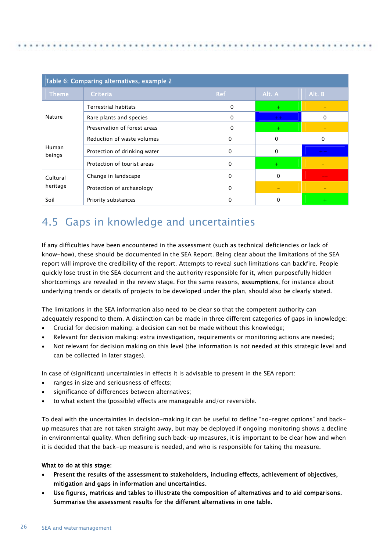| Table 6: Comparing alternatives, example 2 |                              |              |          |          |  |  |  |
|--------------------------------------------|------------------------------|--------------|----------|----------|--|--|--|
| <b>Theme</b>                               | <b>Criteria</b>              | <b>Ref</b>   | Alt. A   | Alt. B   |  |  |  |
|                                            | <b>Terrestrial habitats</b>  | 0            | $+$      |          |  |  |  |
| <b>Nature</b>                              | Rare plants and species      | 0            | $++$     | 0        |  |  |  |
|                                            | Preservation of forest areas | 0            |          |          |  |  |  |
|                                            | Reduction of waste volumes   | $\mathbf{0}$ | 0        | $\Omega$ |  |  |  |
| Human<br>beings                            | Protection of drinking water | 0            | $\Omega$ | $++$     |  |  |  |
|                                            | Protection of tourist areas  | 0            | $+$      |          |  |  |  |
| Cultural                                   | Change in landscape          | 0            | $\Omega$ |          |  |  |  |
| heritage                                   | Protection of archaeology    | 0            |          |          |  |  |  |
| Soil                                       | Priority substances          | 0            | 0        |          |  |  |  |

## <span id="page-25-0"></span>4.5 Gaps in knowledge and uncertainties

If any difficulties have been encountered in the assessment (such as technical deficiencies or lack of know-how), these should be documented in the SEA Report. Being clear about the limitations of the SEA report will improve the credibility of the report. Attempts to reveal such limitations can backfire. People quickly lose trust in the SEA document and the authority responsible for it, when purposefully hidden shortcomings are revealed in the review stage. For the same reasons, assumptions, for instance about underlying trends or details of projects to be developed under the plan, should also be clearly stated.

The limitations in the SEA information also need to be clear so that the competent authority can adequately respond to them. A distinction can be made in three different categories of gaps in knowledge:

- Crucial for decision making: a decision can not be made without this knowledge;
- Relevant for decision making: extra investigation, requirements or monitoring actions are needed;
- Not relevant for decision making on this level (the information is not needed at this strategic level and can be collected in later stages).

In case of (significant) uncertainties in effects it is advisable to present in the SEA report:

- ranges in size and seriousness of effects;
- significance of differences between alternatives;
- to what extent the (possible) effects are manageable and/or reversible.

To deal with the uncertainties in decision-making it can be useful to define "no-regret options" and backup measures that are not taken straight away, but may be deployed if ongoing monitoring shows a decline in environmental quality. When defining such back-up measures, it is important to be clear how and when it is decided that the back-up measure is needed, and who is responsible for taking the measure.

### What to do at this stage:

- Present the results of the assessment to stakeholders, including effects, achievement of objectives, mitigation and gaps in information and uncertainties.
- Use figures, matrices and tables to illustrate the composition of alternatives and to aid comparisons. Summarise the assessment results for the different alternatives in one table.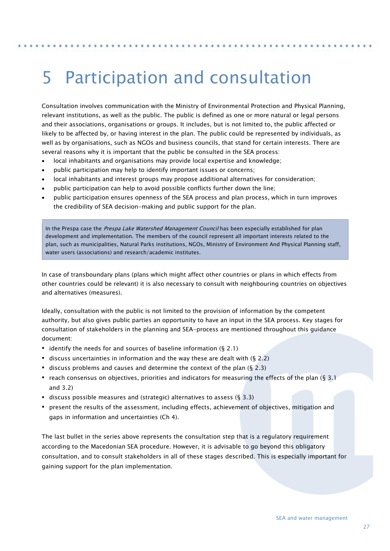## <span id="page-26-0"></span>5 Participation and consultation

Consultation involves communication with the Ministry of Environmental Protection and Physical Planning, relevant institutions, as well as the public. The public is defined as one or more natural or legal persons and their associations, organisations or groups. It includes, but is not limited to, the public affected or likely to be affected by, or having interest in the plan. The public could be represented by individuals, as well as by organisations, such as NGOs and business councils, that stand for certain interests. There are several reasons why it is important that the public be consulted in the SEA process:

- local inhabitants and organisations may provide local expertise and knowledge;
- public participation may help to identify important issues or concerns;

 $\overline{a}$ 

- local inhabitants and interest groups may propose additional alternatives for consideration;
- public participation can help to avoid possible conflicts further down the line;
- public participation ensures openness of the SEA process and plan process, which in turn improves the credibility of SEA decision-making and public support for the plan.

In the Prespa case the *Prespa Lake Watershed Management Council* has been especially established for plan development and implementation. The members of the council represent all important interests related to the plan, such as municipalities, Natural Parks institutions, NGOs, Ministry of Environment And Physical Planning staff, water users (associations) and research/academic institutes.

In case of transboundary plans (plans which might affect other countries or plans in which effects from other countries could be relevant) it is also necessary to consult with neighbouring countries on objectives and alternatives (measures).

Ideally, consultation with the public is not limited to the provision of information by the competent authority, but also gives public parties an opportunity to have an input in the SEA process. Key stages for consultation of stakeholders in the planning and SEA-process are mentioned throughout this guidance document:

- identify the needs for and sources of baseline information  $(§ 2.1)$
- $\blacksquare$  discuss uncertainties in information and the way these are dealt with (§ 2.2)
- discuss problems and causes and determine the context of the plan  $(§ 2.3)$
- reach consensus on objectives, priorities and indicators for measuring the effects of the plan ( $\S$  3.1) and 3.2)
- discuss possible measures and (strategic) alternatives to assess ( $\S$  3.3)
- present the results of the assessment, including effects, achievement of objectives, mitigation and gaps in information and uncertainties (Ch 4).

The last bullet in the series above represents the consultation step that is a regulatory requirement according to the Macedonian SEA procedure. However, it is advisable to go beyond this obligatory consultation, and to consult stakeholders in all of these stages described. This is especially important for gaining support for the plan implementation.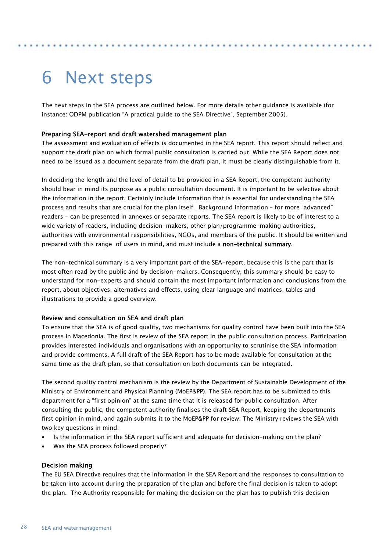## <span id="page-27-0"></span>6 Next steps

The next steps in the SEA process are outlined below. For more details other guidance is available (for instance: ODPM publication "A practical guide to the SEA Directive", September 2005).

#### <span id="page-27-1"></span>Preparing SEA-report and draft watershed management plan

The assessment and evaluation of effects is documented in the SEA report. This report should reflect and support the draft plan on which formal public consultation is carried out. While the SEA Report does not need to be issued as a document separate from the draft plan, it must be clearly distinguishable from it.

In deciding the length and the level of detail to be provided in a SEA Report, the competent authority should bear in mind its purpose as a public consultation document. It is important to be selective about the information in the report. Certainly include information that is essential for understanding the SEA process and results that are crucial for the plan itself. Background information – for more "advanced" readers - can be presented in annexes or separate reports. The SEA report is likely to be of interest to a wide variety of readers, including decision-makers, other plan/programme-making authorities, authorities with environmental responsibilities, NGOs, and members of the public. It should be written and prepared with this range of users in mind, and must include a non-technical summary.

The non-technical summary is a very important part of the SEA-report, because this is the part that is most often read by the public ánd by decision-makers. Consequently, this summary should be easy to understand for non-experts and should contain the most important information and conclusions from the report, about objectives, alternatives and effects, using clear language and matrices, tables and illustrations to provide a good overview.

#### <span id="page-27-2"></span>Review and consultation on SEA and draft plan

To ensure that the SEA is of good quality, two mechanisms for quality control have been built into the SEA process in Macedonia. The first is review of the SEA report in the public consultation process. Participation provides interested individuals and organisations with an opportunity to scrutinise the SEA information and provide comments. A full draft of the SEA Report has to be made available for consultation at the same time as the draft plan, so that consultation on both documents can be integrated.

The second quality control mechanism is the review by the Department of Sustainable Development of the Ministry of Environment and Physical Planning (MoEP&PP). The SEA report has to be submitted to this department for a "first opinion" at the same time that it is released for public consultation. After consulting the public, the competent authority finalises the draft SEA Report, keeping the departments first opinion in mind, and again submits it to the MoEP&PP for review. The Ministry reviews the SEA with two key questions in mind:

- Is the information in the SEA report sufficient and adequate for decision-making on the plan?
- Was the SEA process followed properly?

#### <span id="page-27-3"></span>Decision making

The EU SEA Directive requires that the information in the SEA Report and the responses to consultation to be taken into account during the preparation of the plan and before the final decision is taken to adopt the plan. The Authority responsible for making the decision on the plan has to publish this decision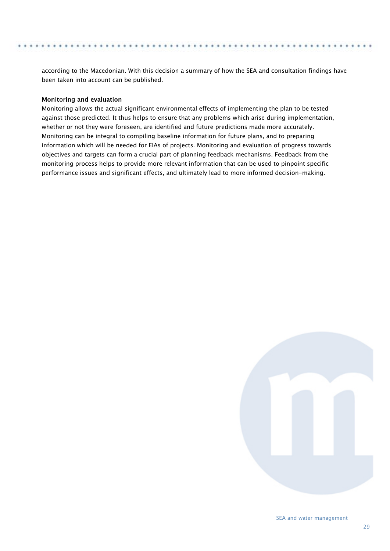according to the Macedonian. With this decision a summary of how the SEA and consultation findings have been taken into account can be published.

#### <span id="page-28-0"></span>Monitoring and evaluation

Monitoring allows the actual significant environmental effects of implementing the plan to be tested against those predicted. It thus helps to ensure that any problems which arise during implementation, whether or not they were foreseen, are identified and future predictions made more accurately. Monitoring can be integral to compiling baseline information for future plans, and to preparing information which will be needed for EIAs of projects. Monitoring and evaluation of progress towards objectives and targets can form a crucial part of planning feedback mechanisms. Feedback from the monitoring process helps to provide more relevant information that can be used to pinpoint specific performance issues and significant effects, and ultimately lead to more informed decision-making.